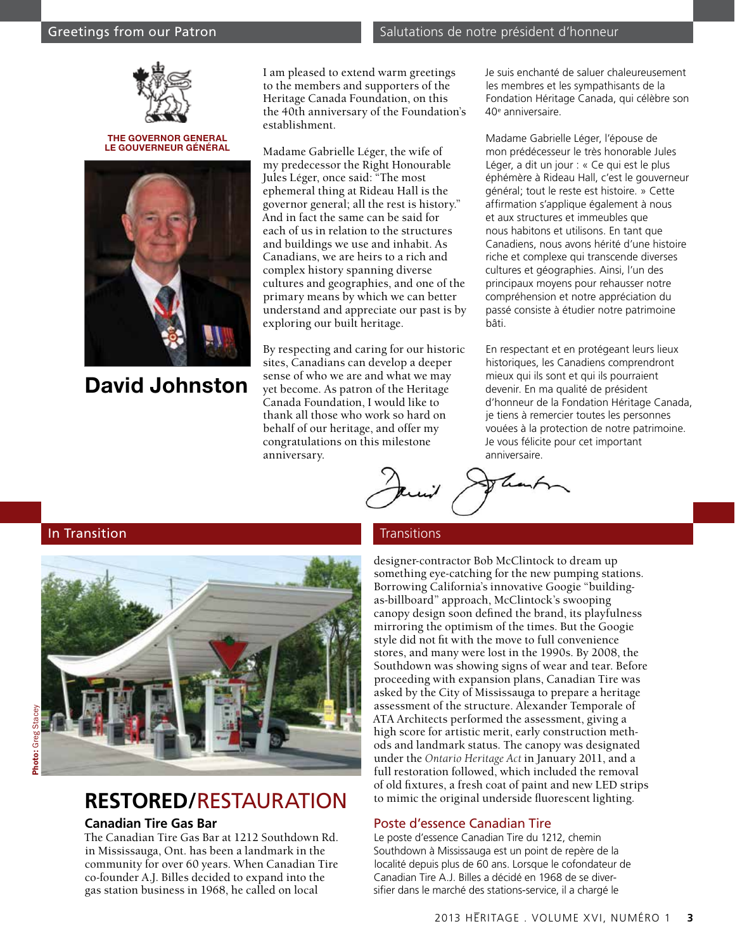

**THE GOVERNOR GENERAL LE GOUVERNEUR GÉNÉRAL**



**David Johnston**

I am pleased to extend warm greetings to the members and supporters of the Heritage Canada Foundation, on this the 40th anniversary of the Foundation's establishment.

Madame Gabrielle Léger, the wife of my predecessor the Right Honourable Jules Léger, once said: "The most ephemeral thing at Rideau Hall is the governor general; all the rest is history." And in fact the same can be said for each of us in relation to the structures and buildings we use and inhabit. As Canadians, we are heirs to a rich and complex history spanning diverse cultures and geographies, and one of the primary means by which we can better understand and appreciate our past is by exploring our built heritage.

By respecting and caring for our historic sites, Canadians can develop a deeper sense of who we are and what we may yet become. As patron of the Heritage Canada Foundation, I would like to thank all those who work so hard on behalf of our heritage, and offer my congratulations on this milestone anniversary.

Je suis enchanté de saluer chaleureusement les membres et les sympathisants de la Fondation Héritage Canada, qui célèbre son 40e anniversaire.

Madame Gabrielle Léger, l'épouse de mon prédécesseur le très honorable Jules Léger, a dit un jour : « Ce qui est le plus éphémère à Rideau Hall, c'est le gouverneur général; tout le reste est histoire. » Cette affirmation s'applique également à nous et aux structures et immeubles que nous habitons et utilisons. En tant que Canadiens, nous avons hérité d'une histoire riche et complexe qui transcende diverses cultures et géographies. Ainsi, l'un des principaux moyens pour rehausser notre compréhension et notre appréciation du passé consiste à étudier notre patrimoine bâti.

En respectant et en protégeant leurs lieux historiques, les Canadiens comprendront mieux qui ils sont et qui ils pourraient devenir. En ma qualité de président d'honneur de la Fondation Héritage Canada, je tiens à remercier toutes les personnes vouées à la protection de notre patrimoine. Je vous félicite pour cet important anniversaire.

In Transition **Transition** 



# Photo: Greg Stacey Phote:

## **RESTORED/**RESTAURATION

### **Canadian Tire Gas Bar**

The Canadian Tire Gas Bar at 1212 Southdown Rd. in Mississauga, Ont. has been a landmark in the community for over 60 years. When Canadian Tire co-founder A.J. Billes decided to expand into the gas station business in 1968, he called on local

designer-contractor Bob McClintock to dream up something eye-catching for the new pumping stations. Borrowing California's innovative Googie "buildingas-billboard" approach, McClintock's swooping canopy design soon defined the brand, its playfulness mirroring the optimism of the times. But the Googie style did not fit with the move to full convenience stores, and many were lost in the 1990s. By 2008, the Southdown was showing signs of wear and tear. Before proceeding with expansion plans, Canadian Tire was asked by the City of Mississauga to prepare a heritage assessment of the structure. Alexander Temporale of ATA Architects performed the assessment, giving a high score for artistic merit, early construction methods and landmark status. The canopy was designated under the *Ontario Heritage Act* in January 2011, and a full restoration followed, which included the removal of old fixtures, a fresh coat of paint and new LED strips to mimic the original underside fluorescent lighting.

#### Poste d'essence Canadian Tire

Le poste d'essence Canadian Tire du 1212, chemin Southdown à Mississauga est un point de repère de la localité depuis plus de 60 ans. Lorsque le cofondateur de Canadian Tire A.J. Billes a décidé en 1968 de se diversifier dans le marché des stations-service, il a chargé le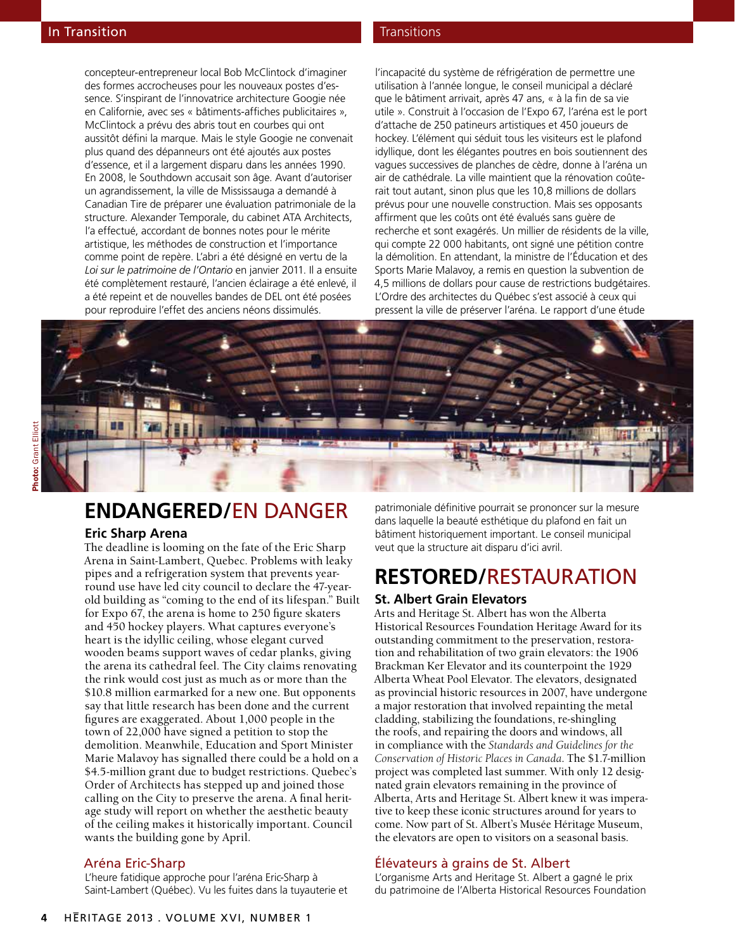concepteur-entrepreneur local Bob McClintock d'imaginer des formes accrocheuses pour les nouveaux postes d'essence. S'inspirant de l'innovatrice architecture Googie née en Californie, avec ses « bâtiments-affiches publicitaires », McClintock a prévu des abris tout en courbes qui ont aussitôt défini la marque. Mais le style Googie ne convenait plus quand des dépanneurs ont été ajoutés aux postes d'essence, et il a largement disparu dans les années 1990. En 2008, le Southdown accusait son âge. Avant d'autoriser un agrandissement, la ville de Mississauga a demandé à Canadian Tire de préparer une évaluation patrimoniale de la structure. Alexander Temporale, du cabinet ATA Architects, l'a effectué, accordant de bonnes notes pour le mérite artistique, les méthodes de construction et l'importance comme point de repère. L'abri a été désigné en vertu de la *Loi sur le patrimoine de l'Ontario* en janvier 2011. Il a ensuite été complètement restauré, l'ancien éclairage a été enlevé, il a été repeint et de nouvelles bandes de DEL ont été posées pour reproduire l'effet des anciens néons dissimulés.

l'incapacité du système de réfrigération de permettre une utilisation à l'année longue, le conseil municipal a déclaré que le bâtiment arrivait, après 47 ans, « à la fin de sa vie utile ». Construit à l'occasion de l'Expo 67, l'aréna est le port d'attache de 250 patineurs artistiques et 450 joueurs de hockey. L'élément qui séduit tous les visiteurs est le plafond idyllique, dont les élégantes poutres en bois soutiennent des vagues successives de planches de cèdre, donne à l'aréna un air de cathédrale. La ville maintient que la rénovation coûterait tout autant, sinon plus que les 10,8 millions de dollars prévus pour une nouvelle construction. Mais ses opposants affirment que les coûts ont été évalués sans guère de recherche et sont exagérés. Un millier de résidents de la ville, qui compte 22 000 habitants, ont signé une pétition contre la démolition. En attendant, la ministre de l'Éducation et des Sports Marie Malavoy, a remis en question la subvention de 4,5 millions de dollars pour cause de restrictions budgétaires. L'Ordre des architectes du Québec s'est associé à ceux qui pressent la ville de préserver l'aréna. Le rapport d'une étude



## **ENDANGERED/**EN DANGER

#### **Eric Sharp Arena**

The deadline is looming on the fate of the Eric Sharp Arena in Saint-Lambert, Quebec. Problems with leaky pipes and a refrigeration system that prevents yearround use have led city council to declare the 47-yearold building as "coming to the end of its lifespan." Built for Expo 67, the arena is home to 250 figure skaters and 450 hockey players. What captures everyone's heart is the idyllic ceiling, whose elegant curved wooden beams support waves of cedar planks, giving the arena its cathedral feel. The City claims renovating the rink would cost just as much as or more than the \$10.8 million earmarked for a new one. But opponents say that little research has been done and the current figures are exaggerated. About 1,000 people in the town of 22,000 have signed a petition to stop the demolition. Meanwhile, Education and Sport Minister Marie Malavoy has signalled there could be a hold on a \$4.5-million grant due to budget restrictions. Quebec's Order of Architects has stepped up and joined those calling on the City to preserve the arena. A final heritage study will report on whether the aesthetic beauty of the ceiling makes it historically important. Council wants the building gone by April.

#### Aréna Eric-Sharp

L'heure fatidique approche pour l'aréna Eric-Sharp à Saint-Lambert (Québec). Vu les fuites dans la tuyauterie et patrimoniale définitive pourrait se prononcer sur la mesure dans laquelle la beauté esthétique du plafond en fait un bâtiment historiquement important. Le conseil municipal veut que la structure ait disparu d'ici avril.

## **RESTORED/**RESTAURATION

#### **St. Albert Grain Elevators**

Arts and Heritage St. Albert has won the Alberta Historical Resources Foundation Heritage Award for its outstanding commitment to the preservation, restoration and rehabilitation of two grain elevators: the 1906 Brackman Ker Elevator and its counterpoint the 1929 Alberta Wheat Pool Elevator. The elevators, designated as provincial historic resources in 2007, have undergone a major restoration that involved repainting the metal cladding, stabilizing the foundations, re-shingling the roofs, and repairing the doors and windows, all in compliance with the *Standards and Guidelines for the Conservation of Historic Places in Canada*. The \$1.7-million project was completed last summer. With only 12 designated grain elevators remaining in the province of Alberta, Arts and Heritage St. Albert knew it was imperative to keep these iconic structures around for years to come. Now part of St. Albert's Musée Héritage Museum, the elevators are open to visitors on a seasonal basis.

### Élévateurs à grains de St. Albert

L'organisme Arts and Heritage St. Albert a gagné le prix du patrimoine de l'Alberta Historical Resources Foundation